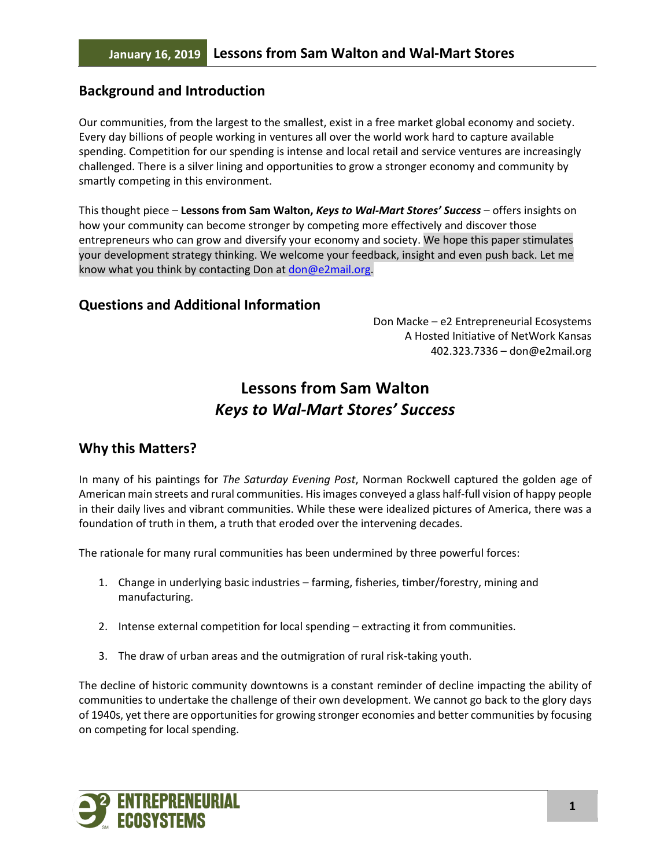# **Background and Introduction**

Our communities, from the largest to the smallest, exist in a free market global economy and society. Every day billions of people working in ventures all over the world work hard to capture available spending. Competition for our spending is intense and local retail and service ventures are increasingly challenged. There is a silver lining and opportunities to grow a stronger economy and community by smartly competing in this environment.

This thought piece – **Lessons from Sam Walton,** *Keys to Wal-Mart Stores' Success* – offers insights on how your community can become stronger by competing more effectively and discover those entrepreneurs who can grow and diversify your economy and society. We hope this paper stimulates your development strategy thinking. We welcome your feedback, insight and even push back. Let me know what you think by contacting Don at [don@e2mail.org.](mailto:don@e2mail.org)

### **Questions and Additional Information**

Don Macke – e2 Entrepreneurial Ecosystems A Hosted Initiative of NetWork Kansas 402.323.7336 – don@e2mail.org

# **Lessons from Sam Walton** *Keys to Wal-Mart Stores' Success*

# **Why this Matters?**

In many of his paintings for *The Saturday Evening Post*, Norman Rockwell captured the golden age of American main streets and rural communities. His images conveyed a glass half-full vision of happy people in their daily lives and vibrant communities. While these were idealized pictures of America, there was a foundation of truth in them, a truth that eroded over the intervening decades.

The rationale for many rural communities has been undermined by three powerful forces:

- 1. Change in underlying basic industries farming, fisheries, timber/forestry, mining and manufacturing.
- 2. Intense external competition for local spending extracting it from communities.
- 3. The draw of urban areas and the outmigration of rural risk-taking youth.

The decline of historic community downtowns is a constant reminder of decline impacting the ability of communities to undertake the challenge of their own development. We cannot go back to the glory days of 1940s, yet there are opportunities for growing stronger economies and better communities by focusing on competing for local spending.

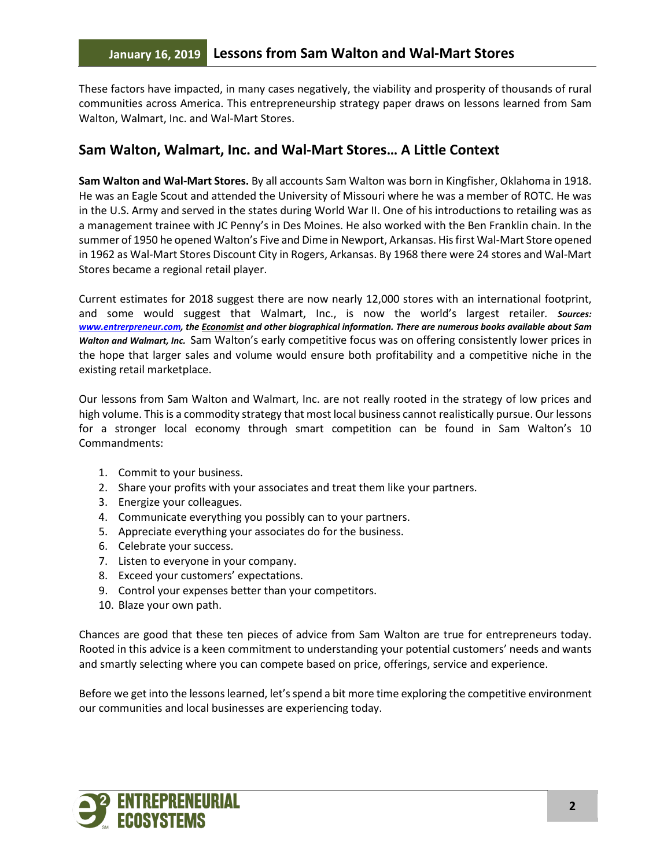These factors have impacted, in many cases negatively, the viability and prosperity of thousands of rural communities across America. This entrepreneurship strategy paper draws on lessons learned from Sam Walton, Walmart, Inc. and Wal-Mart Stores.

# **Sam Walton, Walmart, Inc. and Wal-Mart Stores… A Little Context**

**Sam Walton and Wal-Mart Stores.** By all accounts Sam Walton was born in Kingfisher, Oklahoma in 1918. He was an Eagle Scout and attended the University of Missouri where he was a member of ROTC. He was in the U.S. Army and served in the states during World War II. One of his introductions to retailing was as a management trainee with JC Penny's in Des Moines. He also worked with the Ben Franklin chain. In the summer of 1950 he opened Walton's Five and Dime in Newport, Arkansas. His first Wal-Mart Store opened in 1962 as Wal-Mart Stores Discount City in Rogers, Arkansas. By 1968 there were 24 stores and Wal-Mart Stores became a regional retail player.

Current estimates for 2018 suggest there are now nearly 12,000 stores with an international footprint, and some would suggest that Walmart, Inc., is now the world's largest retailer*. Sources: [www.entrerpreneur.com,](http://www.entrerpreneur.com/) the Economist and other biographical information. There are numerous books available about Sam Walton and Walmart, Inc.* Sam Walton's early competitive focus was on offering consistently lower prices in the hope that larger sales and volume would ensure both profitability and a competitive niche in the existing retail marketplace.

Our lessons from Sam Walton and Walmart, Inc. are not really rooted in the strategy of low prices and high volume. This is a commodity strategy that most local business cannot realistically pursue. Our lessons for a stronger local economy through smart competition can be found in Sam Walton's 10 Commandments:

- 1. Commit to your business.
- 2. Share your profits with your associates and treat them like your partners.
- 3. Energize your colleagues.
- 4. Communicate everything you possibly can to your partners.
- 5. Appreciate everything your associates do for the business.
- 6. Celebrate your success.
- 7. Listen to everyone in your company.
- 8. Exceed your customers' expectations.
- 9. Control your expenses better than your competitors.
- 10. Blaze your own path.

Chances are good that these ten pieces of advice from Sam Walton are true for entrepreneurs today. Rooted in this advice is a keen commitment to understanding your potential customers' needs and wants and smartly selecting where you can compete based on price, offerings, service and experience.

Before we get into the lessons learned, let's spend a bit more time exploring the competitive environment our communities and local businesses are experiencing today.

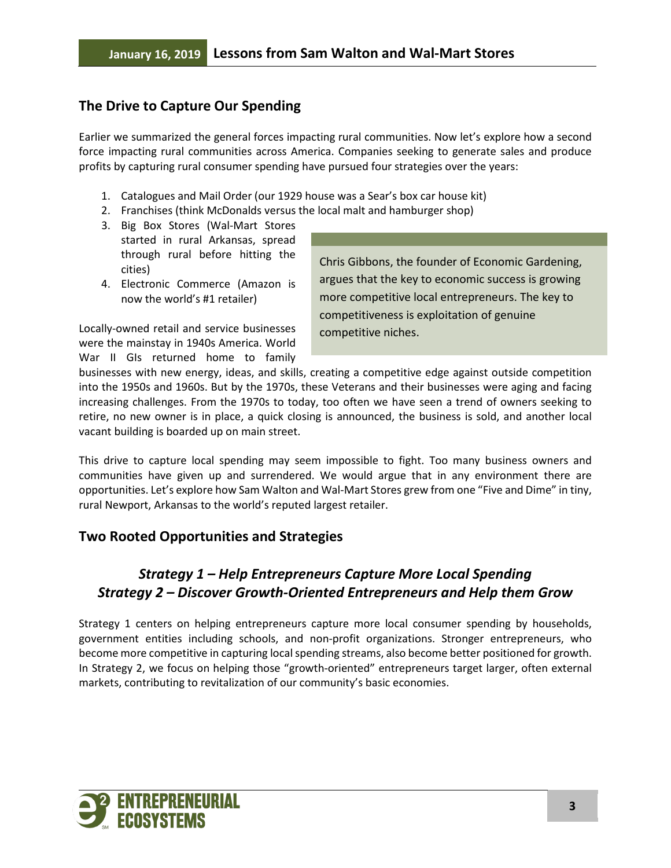# **The Drive to Capture Our Spending**

Earlier we summarized the general forces impacting rural communities. Now let's explore how a second force impacting rural communities across America. Companies seeking to generate sales and produce profits by capturing rural consumer spending have pursued four strategies over the years:

- 1. Catalogues and Mail Order (our 1929 house was a Sear's box car house kit)
- 2. Franchises (think McDonalds versus the local malt and hamburger shop)
- 3. Big Box Stores (Wal-Mart Stores started in rural Arkansas, spread through rural before hitting the cities)
- 4. Electronic Commerce (Amazon is now the world's #1 retailer)

Locally-owned retail and service businesses were the mainstay in 1940s America. World War II GIs returned home to family

Chris Gibbons, the founder of Economic Gardening, argues that the key to economic success is growing more competitive local entrepreneurs. The key to competitiveness is exploitation of genuine competitive niches.

businesses with new energy, ideas, and skills, creating a competitive edge against outside competition into the 1950s and 1960s. But by the 1970s, these Veterans and their businesses were aging and facing increasing challenges. From the 1970s to today, too often we have seen a trend of owners seeking to retire, no new owner is in place, a quick closing is announced, the business is sold, and another local vacant building is boarded up on main street.

This drive to capture local spending may seem impossible to fight. Too many business owners and communities have given up and surrendered. We would argue that in any environment there are opportunities. Let's explore how Sam Walton and Wal-Mart Stores grew from one "Five and Dime" in tiny, rural Newport, Arkansas to the world's reputed largest retailer.

# **Two Rooted Opportunities and Strategies**

# *Strategy 1 – Help Entrepreneurs Capture More Local Spending Strategy 2 – Discover Growth-Oriented Entrepreneurs and Help them Grow*

Strategy 1 centers on helping entrepreneurs capture more local consumer spending by households, government entities including schools, and non-profit organizations. Stronger entrepreneurs, who become more competitive in capturing local spending streams, also become better positioned for growth. In Strategy 2, we focus on helping those "growth-oriented" entrepreneurs target larger, often external markets, contributing to revitalization of our community's basic economies.

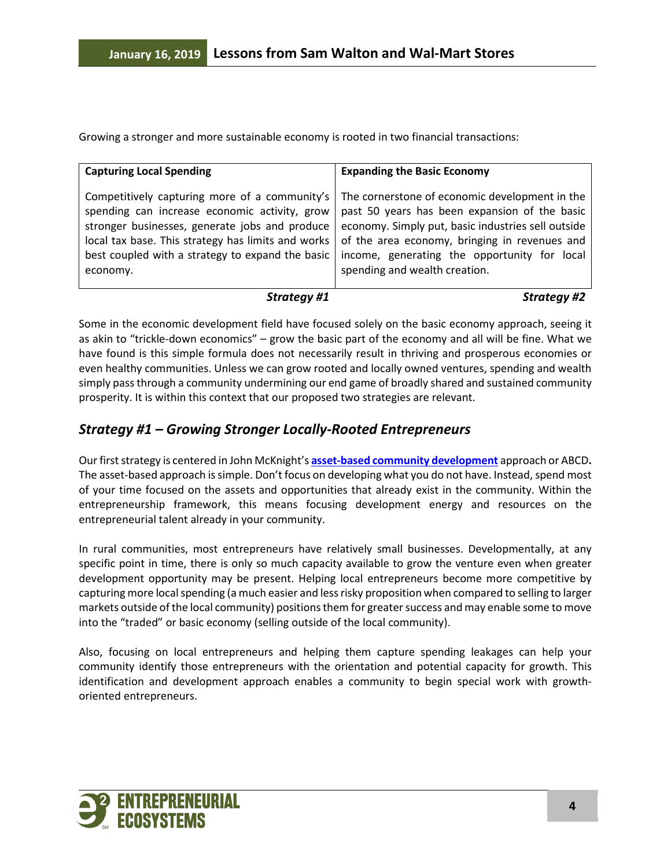Growing a stronger and more sustainable economy is rooted in two financial transactions:

| <b>Capturing Local Spending</b>                    | <b>Expanding the Basic Economy</b>                 |
|----------------------------------------------------|----------------------------------------------------|
| Competitively capturing more of a community's      | The cornerstone of economic development in the     |
| spending can increase economic activity, grow      | past 50 years has been expansion of the basic      |
| stronger businesses, generate jobs and produce     | economy. Simply put, basic industries sell outside |
| local tax base. This strategy has limits and works | of the area economy, bringing in revenues and      |
| best coupled with a strategy to expand the basic   | income, generating the opportunity for local       |
| economy.                                           | spending and wealth creation.                      |

### *Strategy #1 Strategy #2*

Some in the economic development field have focused solely on the basic economy approach, seeing it as akin to "trickle-down economics" – grow the basic part of the economy and all will be fine. What we have found is this simple formula does not necessarily result in thriving and prosperous economies or even healthy communities. Unless we can grow rooted and locally owned ventures, spending and wealth simply pass through a community undermining our end game of broadly shared and sustained community prosperity. It is within this context that our proposed two strategies are relevant.

# *Strategy #1 – Growing Stronger Locally-Rooted Entrepreneurs*

Our first strategy is centered in John McKnight's **[asset-based community development](https://en.wikipedia.org/wiki/Asset-based_community_development)** approach or ABCD**.** The asset-based approach is simple. Don't focus on developing what you do not have. Instead, spend most of your time focused on the assets and opportunities that already exist in the community. Within the entrepreneurship framework, this means focusing development energy and resources on the entrepreneurial talent already in your community.

In rural communities, most entrepreneurs have relatively small businesses. Developmentally, at any specific point in time, there is only so much capacity available to grow the venture even when greater development opportunity may be present. Helping local entrepreneurs become more competitive by capturing more local spending (a much easier and less risky proposition when compared to selling to larger markets outside of the local community) positions them for greater success and may enable some to move into the "traded" or basic economy (selling outside of the local community).

Also, focusing on local entrepreneurs and helping them capture spending leakages can help your community identify those entrepreneurs with the orientation and potential capacity for growth. This identification and development approach enables a community to begin special work with growthoriented entrepreneurs.

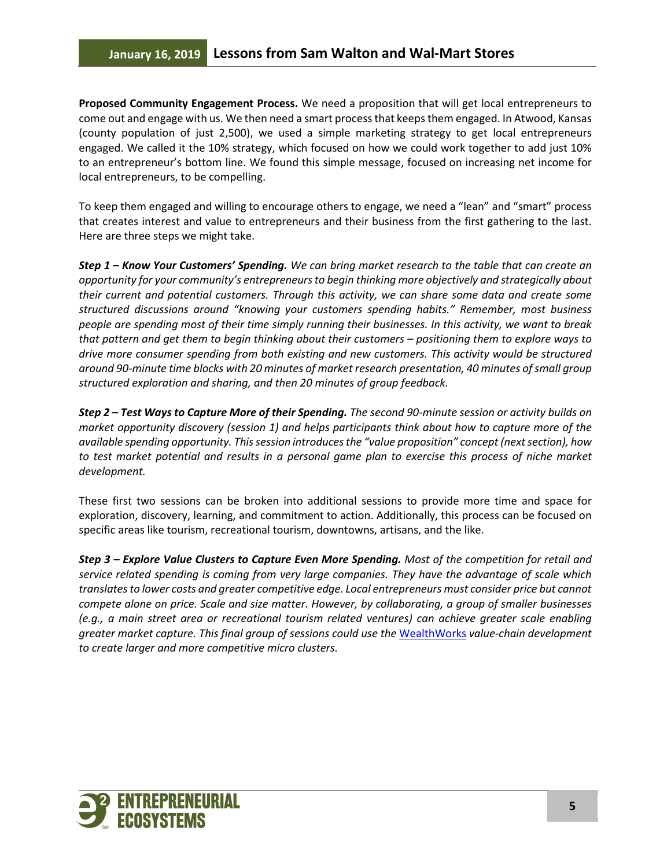**Proposed Community Engagement Process.** We need a proposition that will get local entrepreneurs to come out and engage with us. We then need a smart process that keeps them engaged. In Atwood, Kansas (county population of just 2,500), we used a simple marketing strategy to get local entrepreneurs engaged. We called it the 10% strategy, which focused on how we could work together to add just 10% to an entrepreneur's bottom line. We found this simple message, focused on increasing net income for local entrepreneurs, to be compelling.

To keep them engaged and willing to encourage others to engage, we need a "lean" and "smart" process that creates interest and value to entrepreneurs and their business from the first gathering to the last. Here are three steps we might take.

*Step 1 – Know Your Customers' Spending. We can bring market research to the table that can create an opportunity for your community's entrepreneurs to begin thinking more objectively and strategically about their current and potential customers. Through this activity, we can share some data and create some structured discussions around "knowing your customers spending habits." Remember, most business people are spending most of their time simply running their businesses. In this activity, we want to break that pattern and get them to begin thinking about their customers – positioning them to explore ways to drive more consumer spending from both existing and new customers. This activity would be structured around 90-minute time blocks with 20 minutes of market research presentation, 40 minutes of small group structured exploration and sharing, and then 20 minutes of group feedback.* 

*Step 2 – Test Ways to Capture More of their Spending. The second 90-minute session or activity builds on market opportunity discovery (session 1) and helps participants think about how to capture more of the available spending opportunity. This session introduces the "value proposition" concept (next section), how to test market potential and results in a personal game plan to exercise this process of niche market development.*

These first two sessions can be broken into additional sessions to provide more time and space for exploration, discovery, learning, and commitment to action. Additionally, this process can be focused on specific areas like tourism, recreational tourism, downtowns, artisans, and the like.

*Step 3 – Explore Value Clusters to Capture Even More Spending. Most of the competition for retail and service related spending is coming from very large companies. They have the advantage of scale which translates to lower costs and greater competitive edge. Local entrepreneurs must consider price but cannot compete alone on price. Scale and size matter. However, by collaborating, a group of smaller businesses (e.g., a main street area or recreational tourism related ventures) can achieve greater scale enabling greater market capture. This final group of sessions could use the* [WealthWorks](https://www.wealthworks.org/) *value-chain development to create larger and more competitive micro clusters.*

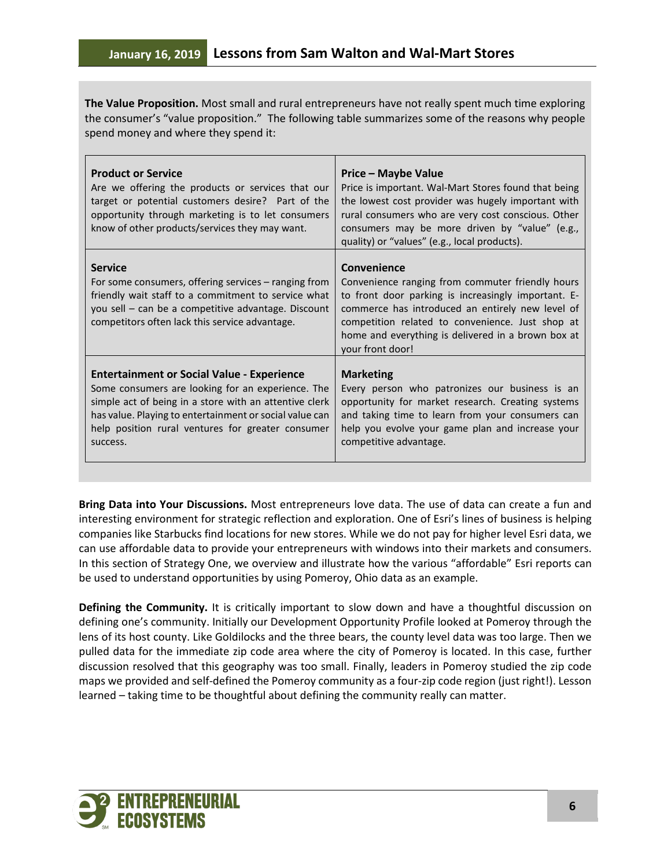**The Value Proposition.** Most small and rural entrepreneurs have not really spent much time exploring the consumer's "value proposition." The following table summarizes some of the reasons why people spend money and where they spend it:

| <b>Product or Service</b><br>Are we offering the products or services that our<br>target or potential customers desire? Part of the<br>opportunity through marketing is to let consumers<br>know of other products/services they may want.                                                   | Price – Maybe Value<br>Price is important. Wal-Mart Stores found that being<br>the lowest cost provider was hugely important with<br>rural consumers who are very cost conscious. Other<br>consumers may be more driven by "value" (e.g.,<br>quality) or "values" (e.g., local products).                |
|----------------------------------------------------------------------------------------------------------------------------------------------------------------------------------------------------------------------------------------------------------------------------------------------|----------------------------------------------------------------------------------------------------------------------------------------------------------------------------------------------------------------------------------------------------------------------------------------------------------|
| <b>Service</b><br>For some consumers, offering services – ranging from<br>friendly wait staff to a commitment to service what<br>you sell – can be a competitive advantage. Discount<br>competitors often lack this service advantage.                                                       | Convenience<br>Convenience ranging from commuter friendly hours<br>to front door parking is increasingly important. E-<br>commerce has introduced an entirely new level of<br>competition related to convenience. Just shop at<br>home and everything is delivered in a brown box at<br>your front door! |
| <b>Entertainment or Social Value - Experience</b><br>Some consumers are looking for an experience. The<br>simple act of being in a store with an attentive clerk<br>has value. Playing to entertainment or social value can<br>help position rural ventures for greater consumer<br>success. | <b>Marketing</b><br>Every person who patronizes our business is an<br>opportunity for market research. Creating systems<br>and taking time to learn from your consumers can<br>help you evolve your game plan and increase your<br>competitive advantage.                                                |

**Bring Data into Your Discussions.** Most entrepreneurs love data. The use of data can create a fun and interesting environment for strategic reflection and exploration. One of Esri's lines of business is helping companies like Starbucks find locations for new stores. While we do not pay for higher level Esri data, we can use affordable data to provide your entrepreneurs with windows into their markets and consumers. In this section of Strategy One, we overview and illustrate how the various "affordable" Esri reports can be used to understand opportunities by using Pomeroy, Ohio data as an example.

**Defining the Community.** It is critically important to slow down and have a thoughtful discussion on defining one's community. Initially our Development Opportunity Profile looked at Pomeroy through the lens of its host county. Like Goldilocks and the three bears, the county level data was too large. Then we pulled data for the immediate zip code area where the city of Pomeroy is located. In this case, further discussion resolved that this geography was too small. Finally, leaders in Pomeroy studied the zip code maps we provided and self-defined the Pomeroy community as a four-zip code region (just right!). Lesson learned – taking time to be thoughtful about defining the community really can matter.

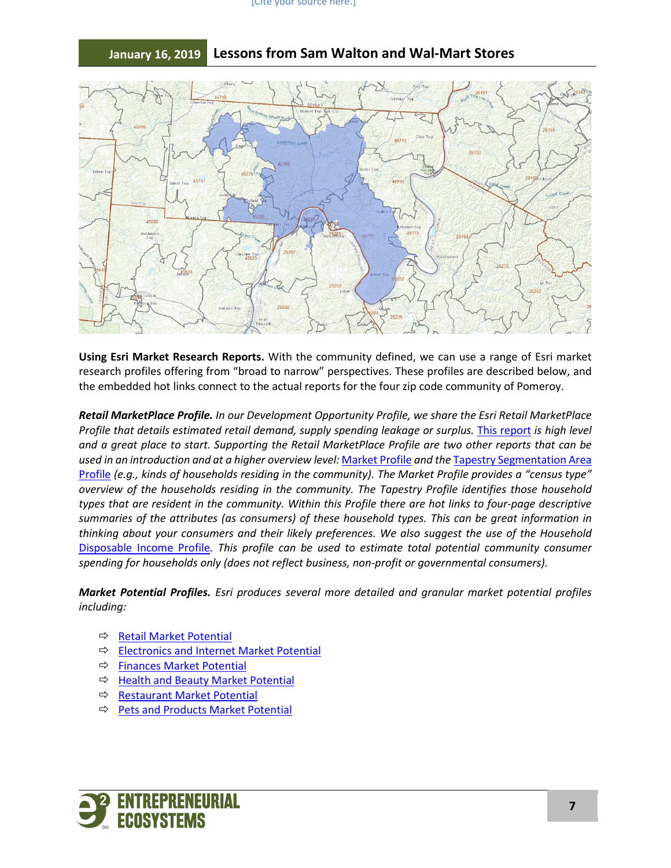#### [Cite your source here.]



# **January 16, 2019 Lessons from Sam Walton and Wal-Mart Stores**

**Using Esri Market Research Reports.** With the community defined, we can use a range of Esri market research profiles offering from "broad to narrow" perspectives. These profiles are described below, and the embedded hot links connect to the actual reports for the four zip code community of Pomeroy.

*Retail MarketPlace Profile. In our Development Opportunity Profile, we share the Esri Retail MarketPlace Profile that details estimated retail demand, supply spending leakage or surplus. [This report](https://drive.google.com/open?id=0B6OdhObuCCdFbkNyU2dtSjl5SEU) is high level and a great place to start. Supporting the Retail MarketPlace Profile are two other reports that can be used in an introduction and at a higher overview level:* [Market Profile](https://drive.google.com/open?id=1wILYgAk0WC4iQV22Y6jDRtH2PQ-ABYhs) *and the* [Tapestry Segmentation Area](https://drive.google.com/open?id=0B6OdhObuCCdFa2lsWHB1N1BKYnM)  [Profile](https://drive.google.com/open?id=0B6OdhObuCCdFa2lsWHB1N1BKYnM) *(e.g., kinds of households residing in the community). The Market Profile provides a "census type" overview of the households residing in the community. The Tapestry Profile identifies those household types that are resident in the community. Within this Profile there are hot links to four-page descriptive summaries of the attributes (as consumers) of these household types. This can be great information in thinking about your consumers and their likely preferences. We also suggest the use of the Household*  [Disposable Income Profile](https://drive.google.com/open?id=0B6OdhObuCCdFd1Z6UGU3bjlreXc)*. This profile can be used to estimate total potential community consumer spending for households only (does not reflect business, non-profit or governmental consumers).*

*Market Potential Profiles. Esri produces several more detailed and granular market potential profiles including:*

- $\Rightarrow$  [Retail Market Potential](https://drive.google.com/open?id=19owzaWP5SnSpyJHyo-_iPyEAjvqrTUdO)
- **[Electronics and Internet Market Potential](https://drive.google.com/open?id=1eZx79DY774sEX-Boi46dj5nt8WU_osJZ)**
- $\Rightarrow$  [Finances Market Potential](https://drive.google.com/open?id=1bBh9SxoEry0j6lzb-NiF2hBF_FmJ6696)
- → [Health and Beauty Market Potential](https://drive.google.com/open?id=1oaQU99GQ0iqz999lZ9AfCV3ikD7dqDF_)
- $\Rightarrow$  [Restaurant Market Potential](https://drive.google.com/open?id=1GSrqM1cq7q3nL7gWHUXQM2fP-rVCqTIy)
- $\Rightarrow$  [Pets and Products Market Potential](https://drive.google.com/open?id=1ipmNHydZ81ST5dai6-Cty9X-s-BRhYY2)

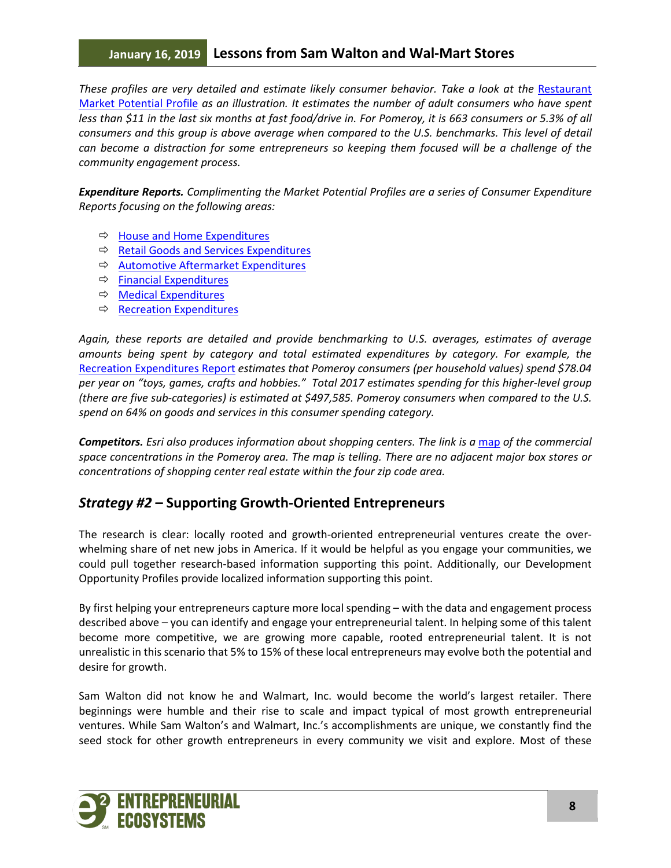# **January 16, 2019 Lessons from Sam Walton and Wal-Mart Stores**

These profiles are very detailed and estimate likely consumer behavior. Take a look at the Restaurant [Market Potential Profile](https://drive.google.com/open?id=1GSrqM1cq7q3nL7gWHUXQM2fP-rVCqTIy) *as an illustration. It estimates the number of adult consumers who have spent less than \$11 in the last six months at fast food/drive in. For Pomeroy, it is 663 consumers or 5.3% of all consumers and this group is above average when compared to the U.S. benchmarks. This level of detail can become a distraction for some entrepreneurs so keeping them focused will be a challenge of the community engagement process.*

*Expenditure Reports. Complimenting the Market Potential Profiles are a series of Consumer Expenditure Reports focusing on the following areas:*

- $\Rightarrow$  [House and Home Expenditures](https://drive.google.com/open?id=1VOz1Fxgj953hQ4bNUQFSK91zDqAZV7AC)
- $\Rightarrow$  [Retail Goods and Services Expenditures](https://drive.google.com/open?id=1_9U9sk4K6YJ_vZv5huEp4ouhbKlPh4Jj)
- $\Rightarrow$  [Automotive Aftermarket Expenditures](https://drive.google.com/open?id=1V8NmyzL6z2-ljEY_qFgDbK-OHc_sfHp8)
- $\Rightarrow$  [Financial Expenditures](https://drive.google.com/open?id=1MeWbPrMO3rUpZyEak-2FFnxRVBJ63Gu0)
- $\Rightarrow$  [Medical Expenditures](https://drive.google.com/open?id=1Yu9JfWHhgF3Bq6WLiV5nBWbAluFxRBeS)
- $\Rightarrow$  [Recreation Expenditures](https://drive.google.com/open?id=1FV0hRRNd_AFDdzNoIv_JPSUKlJ_fn96S)

*Again, these reports are detailed and provide benchmarking to U.S. averages, estimates of average amounts being spent by category and total estimated expenditures by category. For example, the*  [Recreation Expenditures Report](https://drive.google.com/open?id=1FV0hRRNd_AFDdzNoIv_JPSUKlJ_fn96S) *estimates that Pomeroy consumers (per household values) spend \$78.04 per year on "toys, games, crafts and hobbies." Total 2017 estimates spending for this higher-level group (there are five sub-categories) is estimated at \$497,585. Pomeroy consumers when compared to the U.S. spend on 64% on goods and services in this consumer spending category.*

*Competitors. Esri also produces information about shopping centers. The link is a [map](https://drive.google.com/open?id=1ztHBINe0KNJnLlb_u-XCHjW9m5pEB5nx) of the commercial space concentrations in the Pomeroy area. The map is telling. There are no adjacent major box stores or concentrations of shopping center real estate within the four zip code area.*

# *Strategy #2* **– Supporting Growth-Oriented Entrepreneurs**

The research is clear: locally rooted and growth-oriented entrepreneurial ventures create the overwhelming share of net new jobs in America. If it would be helpful as you engage your communities, we could pull together research-based information supporting this point. Additionally, our Development Opportunity Profiles provide localized information supporting this point.

By first helping your entrepreneurs capture more local spending – with the data and engagement process described above – you can identify and engage your entrepreneurial talent. In helping some of this talent become more competitive, we are growing more capable, rooted entrepreneurial talent. It is not unrealistic in this scenario that 5% to 15% of these local entrepreneurs may evolve both the potential and desire for growth.

Sam Walton did not know he and Walmart, Inc. would become the world's largest retailer. There beginnings were humble and their rise to scale and impact typical of most growth entrepreneurial ventures. While Sam Walton's and Walmart, Inc.'s accomplishments are unique, we constantly find the seed stock for other growth entrepreneurs in every community we visit and explore. Most of these